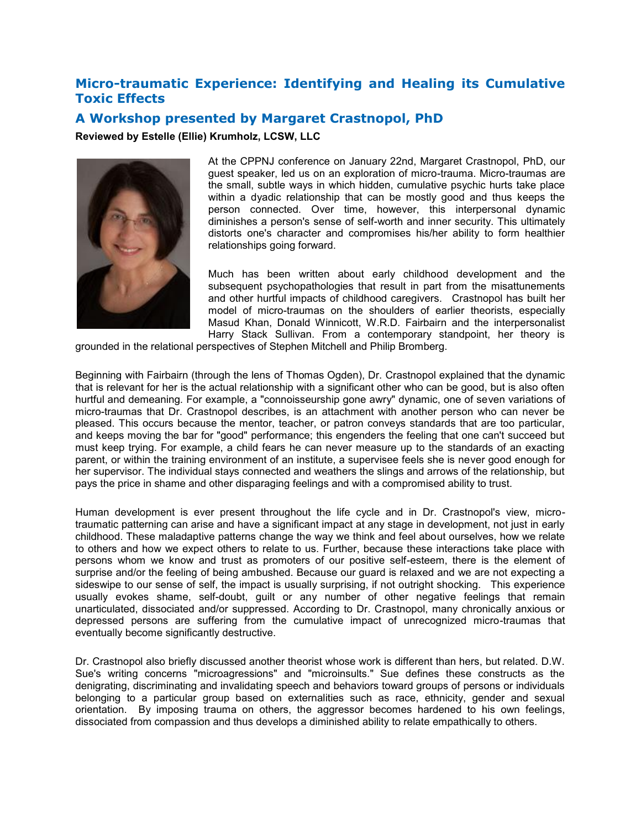## **Micro-traumatic Experience: Identifying and Healing its Cumulative Toxic Effects**

## **A Workshop presented by Margaret Crastnopol, PhD**

**Reviewed by Estelle (Ellie) Krumholz, LCSW, LLC**



At the CPPNJ conference on January 22nd, Margaret Crastnopol, PhD, our guest speaker, led us on an exploration of micro-trauma. Micro-traumas are the small, subtle ways in which hidden, cumulative psychic hurts take place within a dyadic relationship that can be mostly good and thus keeps the person connected. Over time, however, this interpersonal dynamic diminishes a person's sense of self-worth and inner security. This ultimately distorts one's character and compromises his/her ability to form healthier relationships going forward.

Much has been written about early childhood development and the subsequent psychopathologies that result in part from the misattunements and other hurtful impacts of childhood caregivers. Crastnopol has built her model of micro-traumas on the shoulders of earlier theorists, especially Masud Khan, Donald Winnicott, W.R.D. Fairbairn and the interpersonalist Harry Stack Sullivan. From a contemporary standpoint, her theory is

grounded in the relational perspectives of Stephen Mitchell and Philip Bromberg.

Beginning with Fairbairn (through the lens of Thomas Ogden), Dr. Crastnopol explained that the dynamic that is relevant for her is the actual relationship with a significant other who can be good, but is also often hurtful and demeaning. For example, a "connoisseurship gone awry" dynamic, one of seven variations of micro-traumas that Dr. Crastnopol describes, is an attachment with another person who can never be pleased. This occurs because the mentor, teacher, or patron conveys standards that are too particular, and keeps moving the bar for "good" performance; this engenders the feeling that one can't succeed but must keep trying. For example, a child fears he can never measure up to the standards of an exacting parent, or within the training environment of an institute, a supervisee feels she is never good enough for her supervisor. The individual stays connected and weathers the slings and arrows of the relationship, but pays the price in shame and other disparaging feelings and with a compromised ability to trust.

Human development is ever present throughout the life cycle and in Dr. Crastnopol's view, microtraumatic patterning can arise and have a significant impact at any stage in development, not just in early childhood. These maladaptive patterns change the way we think and feel about ourselves, how we relate to others and how we expect others to relate to us. Further, because these interactions take place with persons whom we know and trust as promoters of our positive self-esteem, there is the element of surprise and/or the feeling of being ambushed. Because our guard is relaxed and we are not expecting a sideswipe to our sense of self, the impact is usually surprising, if not outright shocking. This experience usually evokes shame, self-doubt, guilt or any number of other negative feelings that remain unarticulated, dissociated and/or suppressed. According to Dr. Crastnopol, many chronically anxious or depressed persons are suffering from the cumulative impact of unrecognized micro-traumas that eventually become significantly destructive.

Dr. Crastnopol also briefly discussed another theorist whose work is different than hers, but related. D.W. Sue's writing concerns "microagressions" and "microinsults." Sue defines these constructs as the denigrating, discriminating and invalidating speech and behaviors toward groups of persons or individuals belonging to a particular group based on externalities such as race, ethnicity, gender and sexual orientation. By imposing trauma on others, the aggressor becomes hardened to his own feelings, dissociated from compassion and thus develops a diminished ability to relate empathically to others.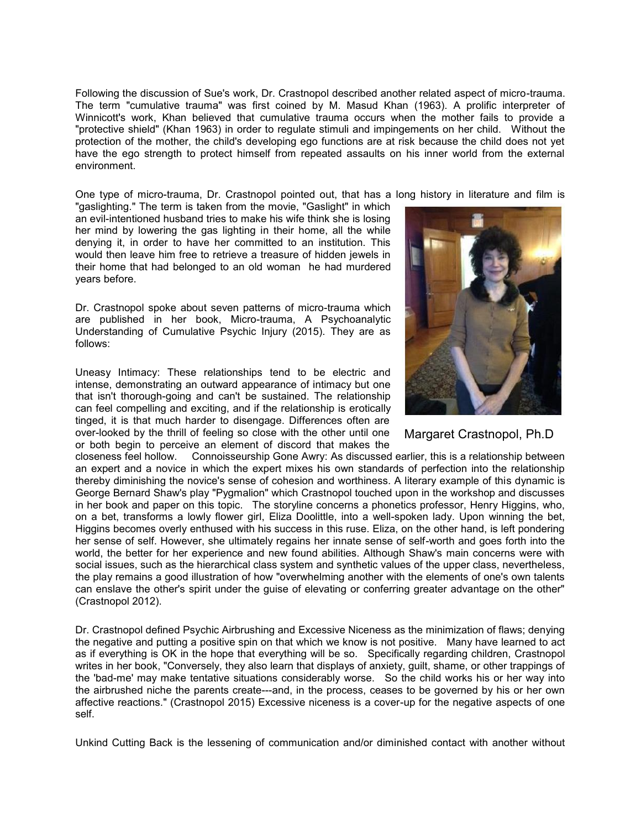Following the discussion of Sue's work, Dr. Crastnopol described another related aspect of micro-trauma. The term "cumulative trauma" was first coined by M. Masud Khan (1963). A prolific interpreter of Winnicott's work, Khan believed that cumulative trauma occurs when the mother fails to provide a "protective shield" (Khan 1963) in order to regulate stimuli and impingements on her child. Without the protection of the mother, the child's developing ego functions are at risk because the child does not yet have the ego strength to protect himself from repeated assaults on his inner world from the external environment.

One type of micro-trauma, Dr. Crastnopol pointed out, that has a long history in literature and film is

"gaslighting." The term is taken from the movie, "Gaslight" in which an evil-intentioned husband tries to make his wife think she is losing her mind by lowering the gas lighting in their home, all the while denying it, in order to have her committed to an institution. This would then leave him free to retrieve a treasure of hidden jewels in their home that had belonged to an old woman he had murdered years before.

Dr. Crastnopol spoke about seven patterns of micro-trauma which are published in her book, Micro-trauma, A Psychoanalytic Understanding of Cumulative Psychic Injury (2015). They are as follows:

Uneasy Intimacy: These relationships tend to be electric and intense, demonstrating an outward appearance of intimacy but one that isn't thorough-going and can't be sustained. The relationship can feel compelling and exciting, and if the relationship is erotically tinged, it is that much harder to disengage. Differences often are over-looked by the thrill of feeling so close with the other until one or both begin to perceive an element of discord that makes the



Margaret Crastnopol, Ph.D

closeness feel hollow. Connoisseurship Gone Awry: As discussed earlier, this is a relationship between an expert and a novice in which the expert mixes his own standards of perfection into the relationship thereby diminishing the novice's sense of cohesion and worthiness. A literary example of this dynamic is George Bernard Shaw's play "Pygmalion" which Crastnopol touched upon in the workshop and discusses in her book and paper on this topic. The storyline concerns a phonetics professor, Henry Higgins, who, on a bet, transforms a lowly flower girl, Eliza Doolittle, into a well-spoken lady. Upon winning the bet, Higgins becomes overly enthused with his success in this ruse. Eliza, on the other hand, is left pondering her sense of self. However, she ultimately regains her innate sense of self-worth and goes forth into the world, the better for her experience and new found abilities. Although Shaw's main concerns were with social issues, such as the hierarchical class system and synthetic values of the upper class, nevertheless, the play remains a good illustration of how "overwhelming another with the elements of one's own talents can enslave the other's spirit under the guise of elevating or conferring greater advantage on the other" (Crastnopol 2012).

Dr. Crastnopol defined Psychic Airbrushing and Excessive Niceness as the minimization of flaws; denying the negative and putting a positive spin on that which we know is not positive. Many have learned to act as if everything is OK in the hope that everything will be so. Specifically regarding children, Crastnopol writes in her book, "Conversely, they also learn that displays of anxiety, guilt, shame, or other trappings of the 'bad-me' may make tentative situations considerably worse. So the child works his or her way into the airbrushed niche the parents create---and, in the process, ceases to be governed by his or her own affective reactions." (Crastnopol 2015) Excessive niceness is a cover-up for the negative aspects of one self.

Unkind Cutting Back is the lessening of communication and/or diminished contact with another without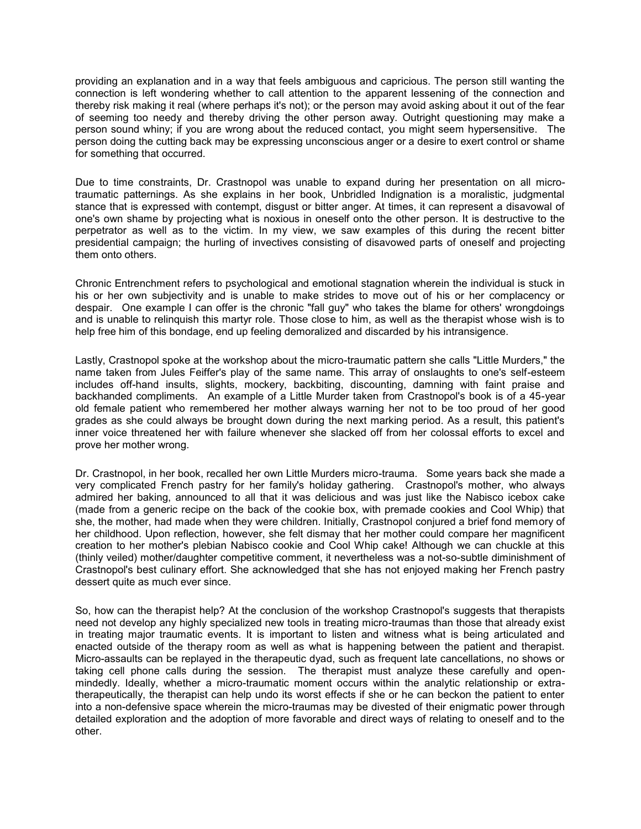providing an explanation and in a way that feels ambiguous and capricious. The person still wanting the connection is left wondering whether to call attention to the apparent lessening of the connection and thereby risk making it real (where perhaps it's not); or the person may avoid asking about it out of the fear of seeming too needy and thereby driving the other person away. Outright questioning may make a person sound whiny; if you are wrong about the reduced contact, you might seem hypersensitive. The person doing the cutting back may be expressing unconscious anger or a desire to exert control or shame for something that occurred.

Due to time constraints, Dr. Crastnopol was unable to expand during her presentation on all microtraumatic patternings. As she explains in her book, Unbridled Indignation is a moralistic, judgmental stance that is expressed with contempt, disgust or bitter anger. At times, it can represent a disavowal of one's own shame by projecting what is noxious in oneself onto the other person. It is destructive to the perpetrator as well as to the victim. In my view, we saw examples of this during the recent bitter presidential campaign; the hurling of invectives consisting of disavowed parts of oneself and projecting them onto others.

Chronic Entrenchment refers to psychological and emotional stagnation wherein the individual is stuck in his or her own subjectivity and is unable to make strides to move out of his or her complacency or despair. One example I can offer is the chronic "fall guy" who takes the blame for others' wrongdoings and is unable to relinquish this martyr role. Those close to him, as well as the therapist whose wish is to help free him of this bondage, end up feeling demoralized and discarded by his intransigence.

Lastly, Crastnopol spoke at the workshop about the micro-traumatic pattern she calls "Little Murders," the name taken from Jules Feiffer's play of the same name. This array of onslaughts to one's self-esteem includes off-hand insults, slights, mockery, backbiting, discounting, damning with faint praise and backhanded compliments. An example of a Little Murder taken from Crastnopol's book is of a 45-year old female patient who remembered her mother always warning her not to be too proud of her good grades as she could always be brought down during the next marking period. As a result, this patient's inner voice threatened her with failure whenever she slacked off from her colossal efforts to excel and prove her mother wrong.

Dr. Crastnopol, in her book, recalled her own Little Murders micro-trauma. Some years back she made a very complicated French pastry for her family's holiday gathering. Crastnopol's mother, who always admired her baking, announced to all that it was delicious and was just like the Nabisco icebox cake (made from a generic recipe on the back of the cookie box, with premade cookies and Cool Whip) that she, the mother, had made when they were children. Initially, Crastnopol conjured a brief fond memory of her childhood. Upon reflection, however, she felt dismay that her mother could compare her magnificent creation to her mother's plebian Nabisco cookie and Cool Whip cake! Although we can chuckle at this (thinly veiled) mother/daughter competitive comment, it nevertheless was a not-so-subtle diminishment of Crastnopol's best culinary effort. She acknowledged that she has not enjoyed making her French pastry dessert quite as much ever since.

So, how can the therapist help? At the conclusion of the workshop Crastnopol's suggests that therapists need not develop any highly specialized new tools in treating micro-traumas than those that already exist in treating major traumatic events. It is important to listen and witness what is being articulated and enacted outside of the therapy room as well as what is happening between the patient and therapist. Micro-assaults can be replayed in the therapeutic dyad, such as frequent late cancellations, no shows or taking cell phone calls during the session. The therapist must analyze these carefully and openmindedly. Ideally, whether a micro-traumatic moment occurs within the analytic relationship or extratherapeutically, the therapist can help undo its worst effects if she or he can beckon the patient to enter into a non-defensive space wherein the micro-traumas may be divested of their enigmatic power through detailed exploration and the adoption of more favorable and direct ways of relating to oneself and to the other.